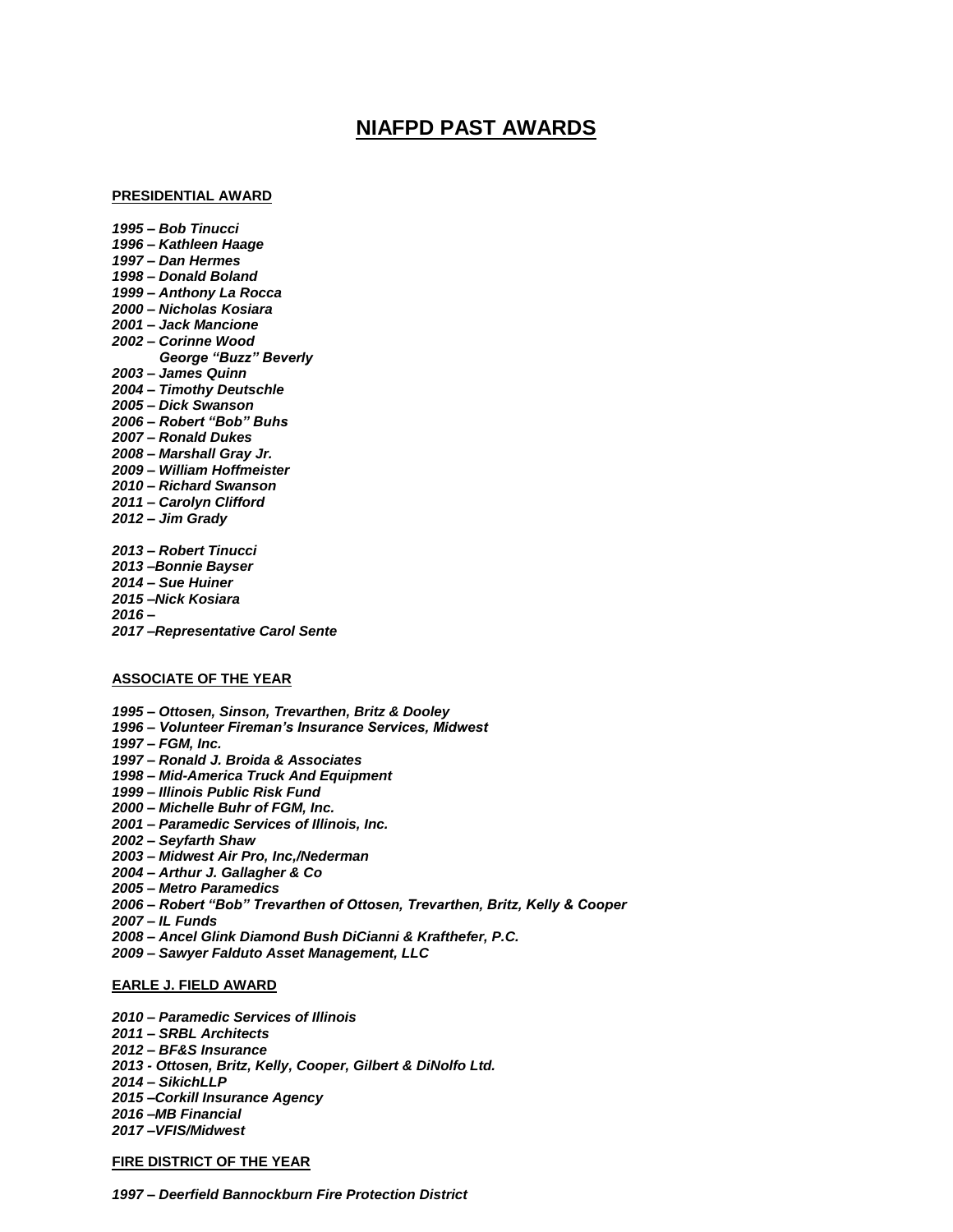# **NIAFPD PAST AWARDS**

## **PRESIDENTIAL AWARD**

*1995 – Bob Tinucci 1996 – Kathleen Haage 1997 – Dan Hermes 1998 – Donald Boland 1999 – Anthony La Rocca 2000 – Nicholas Kosiara 2001 – Jack Mancione 2002 – Corinne Wood George "Buzz" Beverly 2003 – James Quinn 2004 – Timothy Deutschle 2005 – Dick Swanson 2006 – Robert "Bob" Buhs 2007 – Ronald Dukes 2008 – Marshall Gray Jr. 2009 – William Hoffmeister 2010 – Richard Swanson 2011 – Carolyn Clifford 2012 – Jim Grady 2013 – Robert Tinucci 2013 –Bonnie Bayser 2014 – Sue Huiner 2015 –Nick Kosiara*

## **ASSOCIATE OF THE YEAR**

*2017 –Representative Carol Sente*

*2016 –*

*1995 – Ottosen, Sinson, Trevarthen, Britz & Dooley 1996 – Volunteer Fireman's Insurance Services, Midwest 1997 – FGM, Inc. 1997 – Ronald J. Broida & Associates 1998 – Mid-America Truck And Equipment 1999 – Illinois Public Risk Fund 2000 – Michelle Buhr of FGM, Inc. 2001 – Paramedic Services of Illinois, Inc. 2002 – Seyfarth Shaw 2003 – Midwest Air Pro, Inc,/Nederman 2004 – Arthur J. Gallagher & Co 2005 – Metro Paramedics 2006 – Robert "Bob" Trevarthen of Ottosen, Trevarthen, Britz, Kelly & Cooper 2007 – IL Funds 2008 – Ancel Glink Diamond Bush DiCianni & Krafthefer, P.C. 2009 – Sawyer Falduto Asset Management, LLC*

#### **EARLE J. FIELD AWARD**

*2010 – Paramedic Services of Illinois 2011 – SRBL Architects 2012 – BF&S Insurance 2013 - Ottosen, Britz, Kelly, Cooper, Gilbert & DiNolfo Ltd. 2014 – SikichLLP 2015 –Corkill Insurance Agency 2016 –MB Financial 2017 –VFIS/Midwest*

## **FIRE DISTRICT OF THE YEAR**

*1997 – Deerfield Bannockburn Fire Protection District*